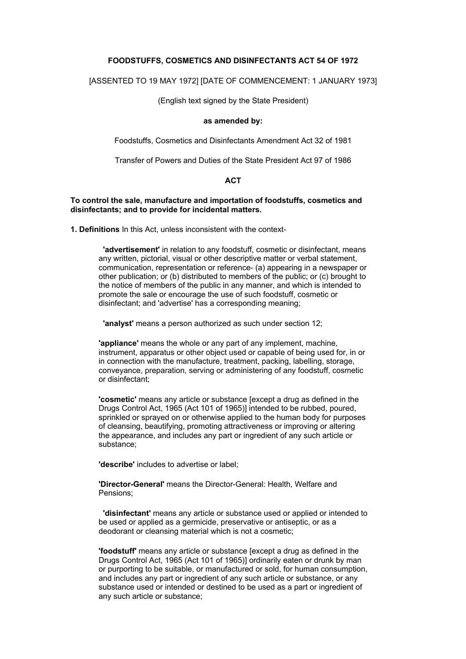#### **FOODSTUFFS, COSMETICS AND DISINFECTANTS ACT 54 OF 1972**

[ASSENTED TO 19 MAY 1972] [DATE OF COMMENCEMENT: 1 JANUARY 1973]

(English text signed by the State President)

#### **as amended by:**

Foodstuffs, Cosmetics and Disinfectants Amendment Act 32 of 1981

Transfer of Powers and Duties of the State President Act 97 of 1986

#### **ACT**

**To control the sale, manufacture and importation of foodstuffs, cosmetics and disinfectants; and to provide for incidental matters.** 

**1. Definitions** In this Act, unless inconsistent with the context-

 **'advertisement'** in relation to any foodstuff, cosmetic or disinfectant, means any written, pictorial, visual or other descriptive matter or verbal statement, communication, representation or reference- (a) appearing in a newspaper or other publication; or (b) distributed to members of the public; or (c) brought to the notice of members of the public in any manner, and which is intended to promote the sale or encourage the use of such foodstuff, cosmetic or disinfectant; and 'advertise' has a corresponding meaning;

**'analyst'** means a person authorized as such under section 12;

**'appliance'** means the whole or any part of any implement, machine, instrument, apparatus or other object used or capable of being used for, in or in connection with the manufacture, treatment, packing, labelling, storage, conveyance, preparation, serving or administering of any foodstuff, cosmetic or disinfectant;

**'cosmetic'** means any article or substance [except a drug as defined in the Drugs Control Act, 1965 (Act 101 of 1965)] intended to be rubbed, poured, sprinkled or sprayed on or otherwise applied to the human body for purposes of cleansing, beautifying, promoting attractiveness or improving or altering the appearance, and includes any part or ingredient of any such article or substance;

**'describe'** includes to advertise or label;

**'Director-General'** means the Director-General: Health, Welfare and Pensions;

 **'disinfectant'** means any article or substance used or applied or intended to be used or applied as a germicide, preservative or antiseptic, or as a deodorant or cleansing material which is not a cosmetic;

**'foodstuff'** means any article or substance [except a drug as defined in the Drugs Control Act, 1965 (Act 101 of 1965)] ordinarily eaten or drunk by man or purporting to be suitable, or manufactured or sold, for human consumption, and includes any part or ingredient of any such article or substance, or any substance used or intended or destined to be used as a part or ingredient of any such article or substance;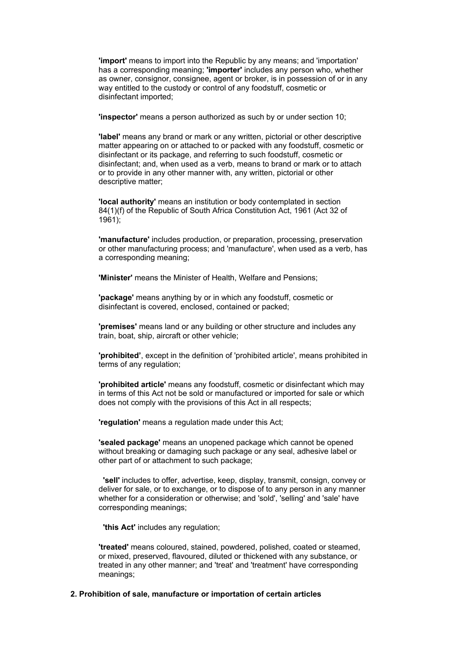**'import'** means to import into the Republic by any means; and 'importation' has a corresponding meaning; **'importer'** includes any person who, whether as owner, consignor, consignee, agent or broker, is in possession of or in any way entitled to the custody or control of any foodstuff, cosmetic or disinfectant imported;

**'inspector'** means a person authorized as such by or under section 10;

**'label'** means any brand or mark or any written, pictorial or other descriptive matter appearing on or attached to or packed with any foodstuff, cosmetic or disinfectant or its package, and referring to such foodstuff, cosmetic or disinfectant; and, when used as a verb, means to brand or mark or to attach or to provide in any other manner with, any written, pictorial or other descriptive matter;

**'local authority'** means an institution or body contemplated in section 84(1)(f) of the Republic of South Africa Constitution Act, 1961 (Act 32 of 1961);

**'manufacture'** includes production, or preparation, processing, preservation or other manufacturing process; and 'manufacture', when used as a verb, has a corresponding meaning;

**'Minister'** means the Minister of Health, Welfare and Pensions;

**'package'** means anything by or in which any foodstuff, cosmetic or disinfectant is covered, enclosed, contained or packed;

**'premises'** means land or any building or other structure and includes any train, boat, ship, aircraft or other vehicle;

**'prohibited'**, except in the definition of 'prohibited article', means prohibited in terms of any regulation;

**'prohibited article'** means any foodstuff, cosmetic or disinfectant which may in terms of this Act not be sold or manufactured or imported for sale or which does not comply with the provisions of this Act in all respects;

**'regulation'** means a regulation made under this Act;

**'sealed package'** means an unopened package which cannot be opened without breaking or damaging such package or any seal, adhesive label or other part of or attachment to such package;

 **'sell'** includes to offer, advertise, keep, display, transmit, consign, convey or deliver for sale, or to exchange, or to dispose of to any person in any manner whether for a consideration or otherwise; and 'sold', 'selling' and 'sale' have corresponding meanings;

**'this Act'** includes any regulation;

**'treated'** means coloured, stained, powdered, polished, coated or steamed, or mixed, preserved, flavoured, diluted or thickened with any substance, or treated in any other manner; and 'treat' and 'treatment' have corresponding meanings;

#### **2. Prohibition of sale, manufacture or importation of certain articles**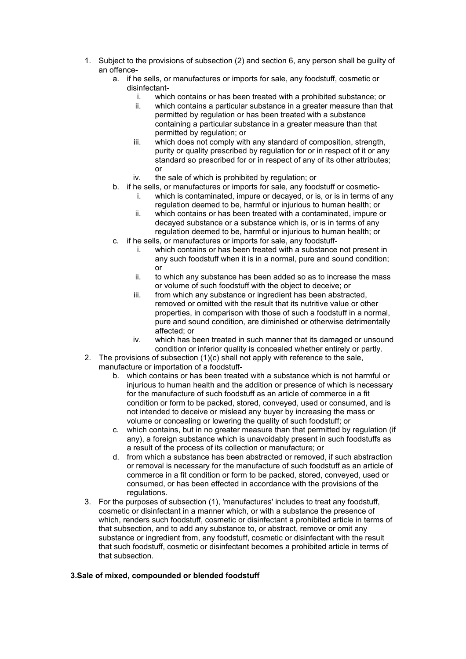- 1. Subject to the provisions of subsection (2) and section 6, any person shall be guilty of an offence
	- a. if he sells, or manufactures or imports for sale, any foodstuff, cosmetic or disinfectant
		- i. which contains or has been treated with a prohibited substance; or
		- ii. which contains a particular substance in a greater measure than that permitted by regulation or has been treated with a substance containing a particular substance in a greater measure than that permitted by regulation; or
		- iii. which does not comply with any standard of composition, strength, purity or quality prescribed by regulation for or in respect of it or any standard so prescribed for or in respect of any of its other attributes; or
		- iv. the sale of which is prohibited by regulation; or
	- b. if he sells, or manufactures or imports for sale, any foodstuff or cosmetic
		- i. which is contaminated, impure or decayed, or is, or is in terms of any regulation deemed to be, harmful or injurious to human health; or
		- ii. which contains or has been treated with a contaminated, impure or decayed substance or a substance which is, or is in terms of any regulation deemed to be, harmful or injurious to human health; or
	- c. if he sel ls, or manufactures or imports for sale, any foodstuff
		- i. which contains or has been treated with a substance not present in any such foodstuff when it is in a normal, pure and sound condition; or
		- ii. to which any substance has been added so as to increase the mass or volume of such foodstuff with the object to deceive; or
		- iii. from which any substance or ingredient has been abstracted, removed or omitted with the result that its nutritive value or other properties, in comparison with those of such a foodstuff in a normal, pure and sound condition, are diminished or otherwise detrimentally affected; or
		- iv. which has been treated in such manner that its damaged or unsound condition or inferior quality is concealed whether entirely or partly.
- 2. The provisions o f subsection (1)(c) shall not apply with reference to the sale, manufacture or importation of a foodstuff
	- b. which contains or has been treated with a substance which is not harmful or condition or form to be packed, stored, conveyed, used or consumed, and is injurious to human health and the addition or presence of which is necessary for the manufacture of such foodstuff as an article of commerce in a fit not intended to deceive or mislead any buyer by increasing the mass or volume or concealing or lowering the quality of such foodstuff; or
	- c. which contains, but in no greater measure than that permitted by regulation (if any), a foreign substance which is unavoidably present in such foodstuffs as a result of the process of its collection or manufacture; or
	- d. from which a substance has been abstracted or removed, if such abstraction or removal is necessary for the manufacture of such foodstuff as an article of commerce in a fit condition or form to be packed, stored, conveyed, used or consumed, or has been effected in accordance with the provisions of the regulations.
- 3. For the purposes of subsection (1), 'manufactures' includes to treat any foodstuff, which, renders such foodstuff, cosmetic or disinfectant a prohibited article in terms of substance or ingredient from, any foodstuff, cosmetic or disinfectant with the result cosmetic or disinfectant in a manner which, or with a substance the presence of that subsection, and to add any substance to, or abstract, remove or omit any that such foodstuff, cosmetic or disinfectant becomes a prohibited article in terms of that subsection.

#### **3.Sale of mixed, compounded or blended foodstuff**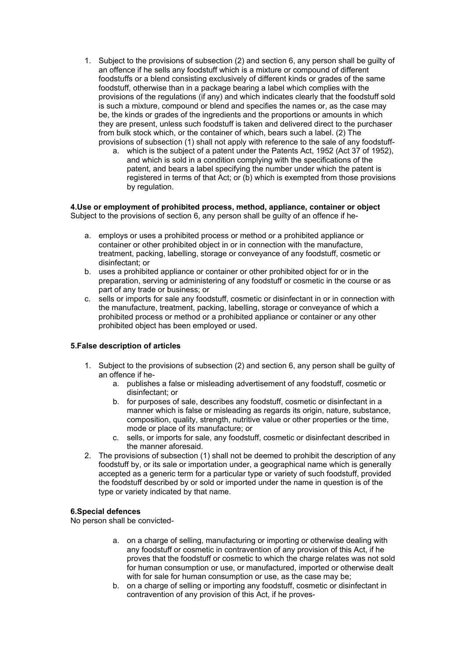- 1. Subject to the provisions of subsection (2) and section 6, any person shall be guilty of an offence if he sells any foodstuff which is a mixture or compound of different foodstuffs or a blend consisting exclusively of different kinds or grades of the same foodstuff, otherwise than in a package bearing a label which complies with the provisions of the regulations (if any) and which indicates clearly that the foodstuff sold is such a mixture, compound or blend and specifies the names or, as the case may be, the kinds or grades of the ingredients and the proportions or amounts in which they are present, unless such foodstuff is taken and delivered direct to the purchaser from bulk stock which, or the container of which, bears such a label. (2) The provisions of subsection (1) shall not apply with reference to the sale of any foodstuff
	- a. which is the subject of a patent under the Patents Act, 1952 (Act 37 of 1952), and which is sold in a condition complying with the specifications of the patent, and bears a label specifying the number under which the patent is registered in terms of that Act; or (b) which is exempted from those provisions by regulation.

#### **4.Use or employment of prohibited process, method, appliance, container or object** Subject to the provisions of section 6, any person shall be guilty of an offence if he-

- a. employs or uses a prohibited process or method or a prohibited appliance or container or other prohibited object in or in connection with the manufacture, treatment, packing, labelling, storage or conveyance of any foodstuff, cosmetic or disinfectant; or
- b. uses a prohibited appliance or container or other prohibited object for or in the preparation, serving or administering of any foodstuff or cosmetic in the course or as part of any trade or business; or
- c. sells or imports for sale any foodstuff, cosmetic or disinfectant in or in connection with the manufacture, treatment, packing, labelling, storage or conveyance of which a prohibited process or method or a prohibited appliance or container or any other prohibited object has been employed or used.

## **5.False description of articles**

- 1. Subject to the provisions of subsection (2) and section 6, any person shall be guilty of an offence if he
	- a. publishes a false or misleading advertisement of any foodstuff, cosmetic or disinfectant; or
	- b. for purposes of sale, describes any foodstuff, cosmetic or disinfectant in a manner which is false or misleading as regards its origin, nature, substance, composition, quality, strength, nutritive value or other properties or the time, mode or place of its manufacture; or
	- c. sells, or imports for sale, any foodstuff, cosmetic or disinfectant described in the manner aforesaid.
- 2. The provisions of subsection (1) shall not be deemed to prohibit the description of any foodstuff by, or its sale or importation under, a geographical name which is generally accepted as a generic term for a particular type or variety of such foodstuff, provided the foodstuff described by or sold or imported under the name in question is of the type or variety indicated by that name.

## **6.Special defences**

No person shall be convicted-

- a. on a charge of selling, manufacturing or importing or otherwise dealing with any foodstuff or cosmetic in contravention of any provision of this Act, if he proves that the foodstuff or cosmetic to which the charge relates was not sold for human consumption or use, or manufactured, imported or otherwise dealt with for sale for human consumption or use, as the case may be;
- b. on a charge of selling or importing any foodstuff, cosmetic or disinfectant in contravention of any provision of this Act, if he proves-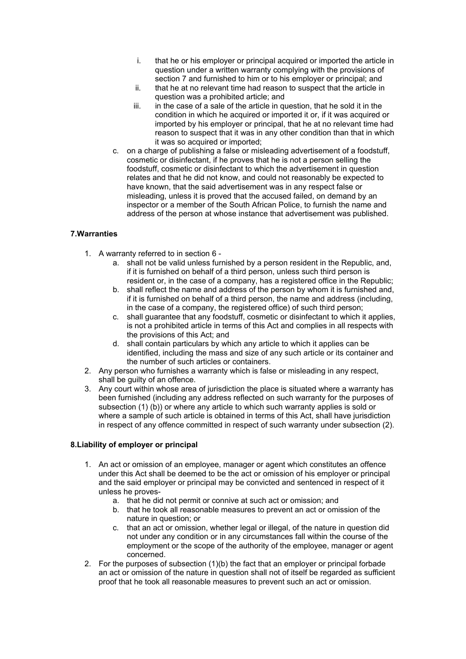- i. that he or his employer or principal acquired or imported the article in question under a written warranty complying with the provisions of section 7 and furnished to him or to his employer or principal; and
- ii. that he at no relevant time had reason to suspect that the article in question was a prohibited article; and
- iii. in the case of a sale of the article in question, that he sold it in the condition in which he acquired or imported it or, if it was acquired or imported by his employer or principal, that he at no relevant time had reason to suspect that it was in any other condition than that in which it was so acquired or imported;
- c. on a charge of publishing a false or misleading advertisement of a foodstuff, cosmetic or disinfectant, if he proves that he is not a person selling the foodstuff, cosmetic or disinfectant to which the advertisement in question relates and that he did not know, and could not reasonably be expected to have known, that the said advertisement was in any respect false or misleading, unless it is proved that the accused failed, on demand by an inspector or a member of the South African Police, to furnish the name and address of the person at whose instance that advertisement was published.

# **7.Warranties**

- 1. A warranty referred to in section 6
	- a. shall not be valid unless furnished by a person resident in the Republic, and, if it is furnished on behalf of a third person, unless such third person is resident or, in the case of a company, has a registered office in the Republic;
	- b. shall reflect the name and address of the person by whom it is furnished and, if it is furnished on behalf of a third person, the name and address (including, in the case of a company, the registered office) of such third person;
	- c. shall guarantee that any foodstuff, cosmetic or disinfectant to which it applies, is not a prohibited article in terms of this Act and complies in all respects with the provisions of this Act; and
	- d. shall contain particulars by which any article to which it applies can be identified, including the mass and size of any such article or its container and the number of such articles or containers.
- 2. Any person who furnishes a warranty which is false or misleading in any respect, shall be guilty of an offence.
- 3. Any court within whose area of jurisdiction the place is situated where a warranty has been furnished (including any address reflected on such warranty for the purposes of subsection (1) (b)) or where any article to which such warranty applies is sold or where a sample of such article is obtained in terms of this Act, shall have jurisdiction in respect of any offence committed in respect of such warranty under subsection (2).

## **8.Liability of employer or principal**

- 1. An act or omission of an employee, manager or agent which constitutes an offence under this Act shall be deemed to be the act or omission of his employer or principal and the said employer or principal may be convicted and sentenced in respect of it unless he proves
	- a. that he did not permit or connive at such act or omission; and
	- b. that he took all reasonable measures to prevent an act or omission of the nature in question; or
	- c. that an act or omission, whether legal or illegal, of the nature in question did not under any condition or in any circumstances fall within the course of the employment or the scope of the authority of the employee, manager or agent concerned.
- 2. For the purposes of subsection (1)(b) the fact that an employer or principal forbade an act or omission of the nature in question shall not of itself be regarded as sufficient proof that he took all reasonable measures to prevent such an act or omission.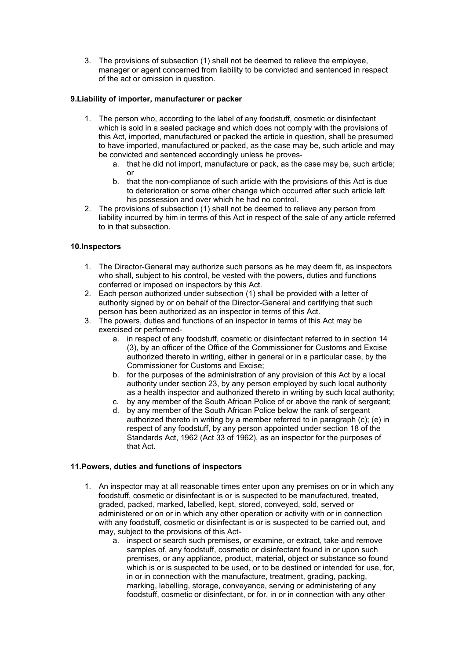3. The provisions of subsection (1) shall not be deemed to relieve the employee, manager or agent concerned from liability to be convicted and sentenced in respect of the act or omission in question.

## **9.Liability of importer, manufacturer or packer**

- 1. The person who, according to the label of any foodstuff, cosmetic or disinfectant which is sold in a sealed package and which does not comply with the provisions of this Act, imported, manufactured or packed the article in question, shall be presumed to have imported, manufactured or packed, as the case may be, such article and may be convicted and sentenced accordingly unless he proves
	- a. that he did not import, manufacture or pack, as the case may be, such article; or
	- b. that the non-compliance of such article with the provisions of this Act is due to deterioration or some other change which occurred after such article left his possession and over which he had no control.
- 2. The provisions of subsection (1) shall not be deemed to relieve any person from liability incurred by him in terms of this Act in respect of the sale of any article referred to in that subsection.

# **10.Inspectors**

- 1. The Director-General may authorize such persons as he may deem fit, as inspectors who shall, subject to his control, be vested with the powers, duties and functions conferred or imposed on inspectors by this Act.
- 2. Each person authorized under subsection (1) shall be provided with a letter of authority signed by or on behalf of the Director-General and certifying that such person has been authorized as an inspector in terms of this Act.
- 3. The powers, duties and functions of an inspector in terms of this Act may be exercised or performed
	- a. in respect of any foodstuff, cosmetic or disinfectant referred to in section 14 (3), by an officer of the Office of the Commissioner for Customs and Excise authorized thereto in writing, either in general or in a particular case, by the Commissioner for Customs and Excise;
	- b. for the purposes of the administration of any provision of this Act by a local authority under section 23, by any person employed by such local authority as a health inspector and authorized thereto in writing by such local authority;
	- c. by any member of the South African Police of or above the rank of sergeant;
	- d. by any member of the South African Police below the rank of sergeant authorized thereto in writing by a member referred to in paragraph (c); (e) in respect of any foodstuff, by any person appointed under section 18 of the Standards Act, 1962 (Act 33 of 1962), as an inspector for the purposes of that Act.

## **11.Powers, duties and functions of inspectors**

- 1. An inspector may at all reasonable times enter upon any premises on or in which any foodstuff, cosmetic or disinfectant is or is suspected to be manufactured, treated, graded, packed, marked, labelled, kept, stored, conveyed, sold, served or administered or on or in which any other operation or activity with or in connection with any foodstuff, cosmetic or disinfectant is or is suspected to be carried out, and may, subject to the provisions of this Act
	- a. inspect or search such premises, or examine, or extract, take and remove samples of, any foodstuff, cosmetic or disinfectant found in or upon such premises, or any appliance, product, material, object or substance so found which is or is suspected to be used, or to be destined or intended for use, for, in or in connection with the manufacture, treatment, grading, packing, marking, labelling, storage, conveyance, serving or administering of any foodstuff, cosmetic or disinfectant, or for, in or in connection with any other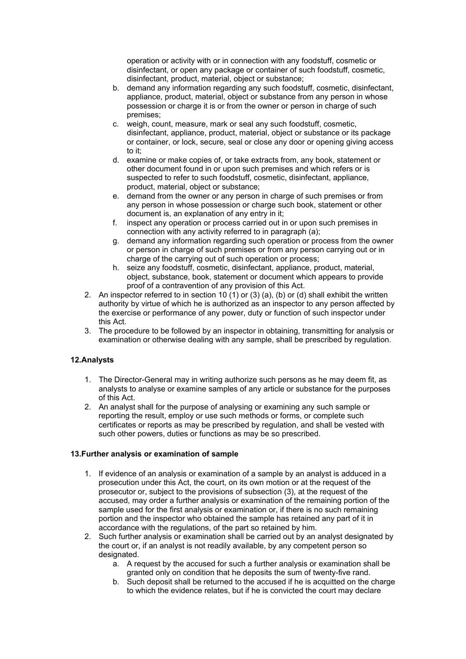operation or activity with or in connection with any foodstuff, cosmetic or disinfectant, or open any package or container of such foodstuff, cosmetic, disinfectant, product, material, object or substance;

- b. demand any information regarding any such foodstuff, cosmetic, disinfectant, appliance, product, material, object or substance from any person in whose possession or charge it is or from the owner or person in charge of such premises;
- c. weigh, count, measure, mark or seal any such foodstuff, cosmetic, disinfectant, appliance, product, material, object or substance or its package or container, or lock, secure, seal or close any door or opening giving access to it;
- d. examine or make copies of, or take extracts from, any book, statement or other document found in or upon such premises and which refers or is suspected to refer to such foodstuff, cosmetic, disinfectant, appliance, product, material, object or substance;
- e. demand from the owner or any person in charge of such premises or from any person in whose possession or charge such book, statement or other document is, an explanation of any entry in it;
- f. inspect any operation or process carried out in or upon such premises in connection with any activity referred to in paragraph (a);
- g. demand any information regarding such operation or process from the owner or person in charge of such premises or from any person carrying out or in charge of the carrying out of such operation or process;
- h. seize any foodstuff, cosmetic, disinfectant, appliance, product, material, object, substance, book, statement or document which appears to provide proof of a contravention of any provision of this Act.
- 2. An inspector referred to in section 10 (1) or (3) (a), (b) or (d) shall exhibit the written authority by virtue of which he is authorized as an inspector to any person affected by the exercise or performance of any power, duty or function of such inspector under this Act.
- 3. The procedure to be followed by an inspector in obtaining, transmitting for analysis or examination or otherwise dealing with any sample, shall be prescribed by regulation.

# **12.Analysts**

- 1. The Director-General may in writing authorize such persons as he may deem fit, as analysts to analyse or examine samples of any article or substance for the purposes of this Act.
- 2. An analyst shall for the purpose of analysing or examining any such sample or reporting the result, employ or use such methods or forms, or complete such certificates or reports as may be prescribed by regulation, and shall be vested with such other powers, duties or functions as may be so prescribed.

## **13.Further analysis or examination of sample**

- 1. If evidence of an analysis or examination of a sample by an analyst is adduced in a prosecution under this Act, the court, on its own motion or at the request of the prosecutor or, subject to the provisions of subsection (3), at the request of the accused, may order a further analysis or examination of the remaining portion of the sample used for the first analysis or examination or, if there is no such remaining portion and the inspector who obtained the sample has retained any part of it in accordance with the regulations, of the part so retained by him.
- 2. Such further analysis or examination shall be carried out by an analyst designated by the court or, if an analyst is not readily available, by any competent person so designated.
	- a. A request by the accused for such a further analysis or examination shall be granted only on condition that he deposits the sum of twenty-five rand.
	- b. Such deposit shall be returned to the accused if he is acquitted on the charge to which the evidence relates, but if he is convicted the court may declare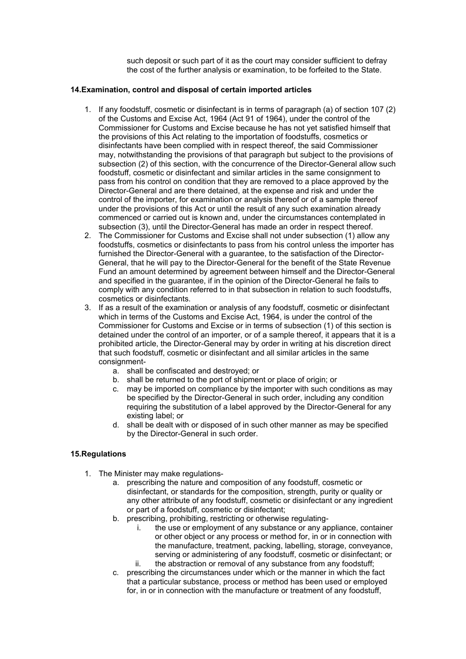such deposit or such part of it as the court may consider sufficient to defray the cost of the further analysis or examination, to be forfeited to the State.

#### **14.Examination, control and disposal of certain imported articles**

- 1. If any foodstuff, cosmetic or disinfectant is in terms of paragraph (a) of section 107 (2) of the Customs and Excise Act, 1964 (Act 91 of 1964), under the control of the Commissioner for Customs and Excise because he has not yet satisfied himself that the provisions of this Act relating to the importation of foodstuffs, cosmetics or disinfectants have been complied with in respect thereof, the said Commissioner may, notwithstanding the provisions of that paragraph but subject to the provisions of subsection (2) of this section, with the concurrence of the Director-General allow such foodstuff, cosmetic or disinfectant and similar articles in the same consignment to pass from his control on condition that they are removed to a place approved by the Director-General and are there detained, at the expense and risk and under the control of the importer, for examination or analysis thereof or of a sample thereof under the provisions of this Act or until the result of any such examination already commenced or carried out is known and, under the circumstances contemplated in subsection (3), until the Director-General has made an order in respect thereof.
- 2. The Commissioner for Customs and Excise shall not under subsection (1) allow any foodstuffs, cosmetics or disinfectants to pass from his control unless the importer has furnished the Director-General with a guarantee, to the satisfaction of the Director-General, that he will pay to the Director-General for the benefit of the State Revenue Fund an amount determined by agreement between himself and the Director-General and specified in the guarantee, if in the opinion of the Director-General he fails to comply with any condition referred to in that subsection in relation to such foodstuffs, cosmetics or disinfectants.
- 3. If as a result of the examination or analysis of any foodstuff, cosmetic or disinfectant which in terms of the Customs and Excise Act, 1964, is under the control of the Commissioner for Customs and Excise or in terms of subsection (1) of this section is detained under the control of an importer, or of a sample thereof, it appears that it is a prohibited article, the Director-General may by order in writing at his discretion direct that such foodstuff, cosmetic or disinfectant and all similar articles in the same consignment
	- a. shall be confiscated and destroyed; or
	- b. shall be returned to the port of shipment or place of origin; or
	- c. may be imported on compliance by the importer with such conditions as may be specified by the Director-General in such order, including any condition requiring the substitution of a label approved by the Director-General for any existing label; or
	- d. shall be dealt with or disposed of in such other manner as may be specified by the Director-General in such order.

## **15.Regulations**

- 1. The Minister may make regulations
	- a. prescribing the nature and composition of any foodstuff, cosmetic or disinfectant, or standards for the composition, strength, purity or quality or any other attribute of any foodstuff, cosmetic or disinfectant or any ingredient or part of a foodstuff, cosmetic or disinfectant;
	- b. prescribing, prohibiting, restricting or otherwise regulating
		- i. the use or employment of any substance or any appliance, container or other object or any process or method for, in or in connection with the manufacture, treatment, packing, labelling, storage, conveyance, serving or administering of any foodstuff, cosmetic or disinfectant; or ii. the abstraction or removal of any substance from any foodstuff;
	- c. prescribing the circumstances under which or the manner in which the fact that a particular substance, process or method has been used or employed for, in or in connection with the manufacture or treatment of any foodstuff,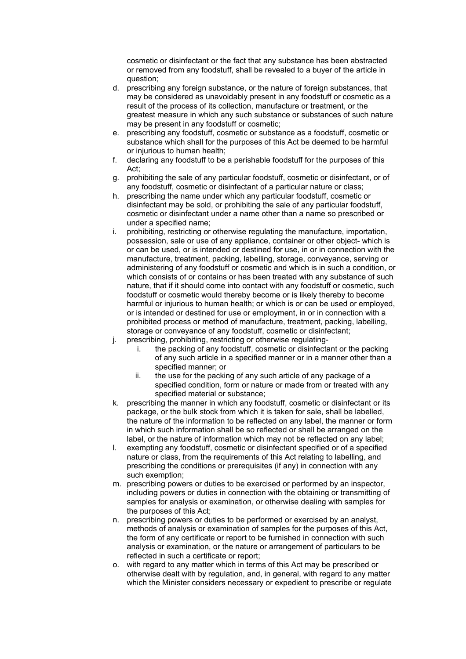cosmetic or disinfectant or the fact that any substance has been abstracted or removed from any foodstuff, shall be revealed to a buyer of the article in question;

- d. prescribing any foreign substance, or the nature of foreign substances, that may be considered as unavoidably present in any foodstuff or cosmetic as a result of the process of its collection, manufacture or treatment, or the greatest measure in which any such substance or substances of such nature may be present in any foodstuff or cosmetic;
- e. prescribing any foodstuff, cosmetic or substance as a foodstuff, cosmetic or substance which shall for the purposes of this Act be deemed to be harmful or injurious to human health;
- f. declaring any foodstuff to be a perishable foodstuff for the purposes of this Act;
- g. prohibiting the sale of any particular foodstuff, cosmetic or disinfectant, or of any foodstuff, cosmetic or disinfectant of a particular nature or class;
- h. prescribing the name under which any particular foodstuff, cosmetic or disinfectant may be sold, or prohibiting the sale of any particular foodstuff, cosmetic or disinfectant under a name other than a name so prescribed or under a specified name;
- i. prohibiting, restricting or otherwise regulating the manufacture, importation, possession, sale or use of any appliance, container or other object- which is or can be used, or is intended or destined for use, in or in connection with the manufacture, treatment, packing, labelling, storage, conveyance, serving or administering of any foodstuff or cosmetic and which is in such a condition, or which consists of or contains or has been treated with any substance of such nature, that if it should come into contact with any foodstuff or cosmetic, such foodstuff or cosmetic would thereby become or is likely thereby to become harmful or injurious to human health; or which is or can be used or employed, or is intended or destined for use or employment, in or in connection with a prohibited process or method of manufacture, treatment, packing, labelling, storage or conveyance of any foodstuff, cosmetic or disinfectant;
- j. prescribing, prohibiting, restricting or otherwise regulating
	- i. the packing of any foodstuff, cosmetic or disinfectant or the packing of any such article in a specified manner or in a manner other than a specified manner; or
	- ii. the use for the packing of any such article of any package of a specified condition, form or nature or made from or treated with any specified material or substance;
- k. prescribing the manner in which any foodstuff, cosmetic or disinfectant or its package, or the bulk stock from which it is taken for sale, shall be labelled, the nature of the information to be reflected on any label, the manner or form in which such information shall be so reflected or shall be arranged on the label, or the nature of information which may not be reflected on any label;
- l. exempting any foodstuff, cosmetic or disinfectant specified or of a specified nature or class, from the requirements of this Act relating to labelling, and prescribing the conditions or prerequisites (if any) in connection with any such exemption;
- m. prescribing powers or duties to be exercised or performed by an inspector, including powers or duties in connection with the obtaining or transmitting of samples for analysis or examination, or otherwise dealing with samples for the purposes of this Act;
- n. prescribing powers or duties to be performed or exercised by an analyst, methods of analysis or examination of samples for the purposes of this Act, the form of any certificate or report to be furnished in connection with such analysis or examination, or the nature or arrangement of particulars to be reflected in such a certificate or report;
- o. with regard to any matter which in terms of this Act may be prescribed or otherwise dealt with by regulation, and, in general, with regard to any matter which the Minister considers necessary or expedient to prescribe or regulate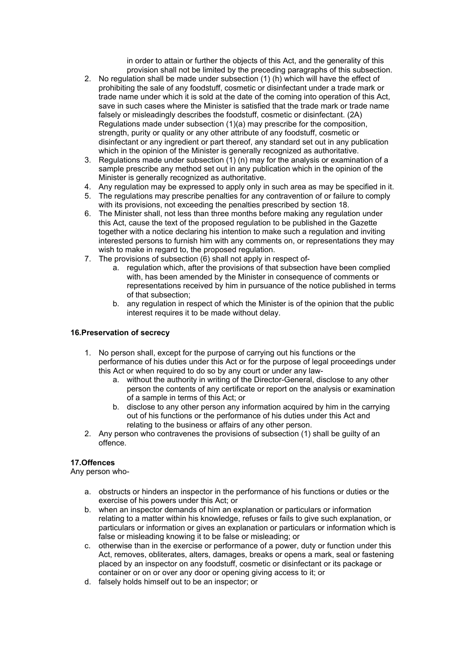in order to attain or further the objects of this Act, and the generality of this provision shall not be limited by the preceding paragraphs of this subsection.

- 2. No regulation shall be made under subsection (1) (h) which will have the effect of prohibiting the sale of any foodstuff, cosmetic or disinfectant under a trade mark or trade name under which it is sold at the date of the coming into operation of this Act, save in such cases where the Minister is satisfied that the trade mark or trade name falsely or misleadingly describes the foodstuff, cosmetic or disinfectant. (2A) Regulations made under subsection (1)(a) may prescribe for the composition, strength, purity or quality or any other attribute of any foodstuff, cosmetic or disinfectant or any ingredient or part thereof, any standard set out in any publication which in the opinion of the Minister is generally recognized as authoritative.
- 3. Regulations made under subsection (1) (n) may for the analysis or examination of a sample prescribe any method set out in any publication which in the opinion of the Minister is generally recognized as authoritative.
- 4. Any regulation may be expressed to apply only in such area as may be specified in it.
- 5. The regulations may prescribe penalties for any contravention of or failure to comply with its provisions, not exceeding the penalties prescribed by section 18.
- 6. The Minister shall, not less than three months before making any regulation under this Act, cause the text of the proposed regulation to be published in the Gazette together with a notice declaring his intention to make such a regulation and inviting interested persons to furnish him with any comments on, or representations they may wish to make in regard to, the proposed regulation.
- 7. The provisions of subsection (6) shall not apply in respect of
	- a. regulation which, after the provisions of that subsection have been complied with, has been amended by the Minister in consequence of comments or representations received by him in pursuance of the notice published in terms of that subsection;
	- b. any regulation in respect of which the Minister is of the opinion that the public interest requires it to be made without delay.

#### **16.Preservation of secrecy**

- 1. No person shall, except for the purpose of carrying out his functions or the performance of his duties under this Act or for the purpose of legal proceedings under this Act or when required to do so by any court or under any law
	- a. without the authority in writing of the Director-General, disclose to any other person the contents of any certificate or report on the analysis or examination of a sample in terms of this Act; or
	- b. disclose to any other person any information acquired by him in the carrying out of his functions or the performance of his duties under this Act and relating to the business or affairs of any other person.
- 2. Any person who contravenes the provisions of subsection (1) shall be guilty of an offence.

## **17.Offences**

Any person who-

- a. obstructs or hinders an inspector in the performance of his functions or duties or the exercise of his powers under this Act; or
- b. when an inspector demands of him an explanation or particulars or information relating to a matter within his knowledge, refuses or fails to give such explanation, or particulars or information or gives an explanation or particulars or information which is false or misleading knowing it to be false or misleading; or
- c. otherwise than in the exercise or performance of a power, duty or function under this Act, removes, obliterates, alters, damages, breaks or opens a mark, seal or fastening placed by an inspector on any foodstuff, cosmetic or disinfectant or its package or container or on or over any door or opening giving access to it; or
- d. falsely holds himself out to be an inspector; or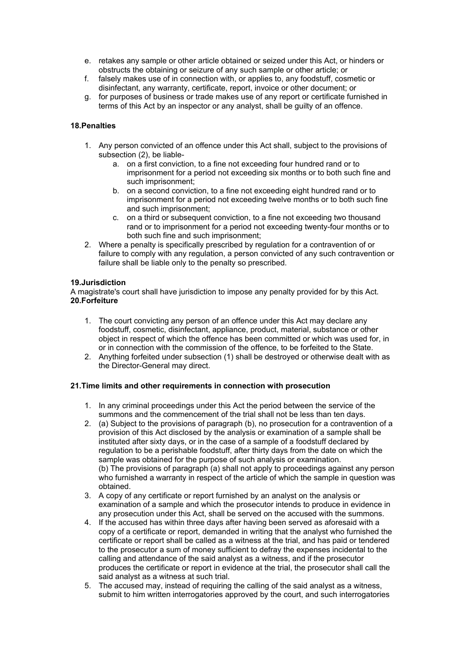- e. retakes any sample or other article obtained or seized under this Act, or hinders or obstructs the obtaining or seizure of any such sample or other article; or
- f. falsely makes use of in connection with, or applies to, any foodstuff, cosmetic or disinfectant, any warranty, certificate, report, invoice or other document; or
- g. for purposes of business or trade makes use of any report or certificate furnished in terms of this Act by an inspector or any analyst, shall be guilty of an offence.

## **18.Penalties**

- 1. Any person convicted of an offence under this Act shall, subject to the provisions of subsection (2), be liable
	- a. on a first conviction, to a fine not exceeding four hundred rand or to imprisonment for a period not exceeding six months or to both such fine and such imprisonment;
	- b. on a second conviction, to a fine not exceeding eight hundred rand or to imprisonment for a period not exceeding twelve months or to both such fine and such imprisonment;
	- c. on a third or subsequent conviction, to a fine not exceeding two thousand rand or to imprisonment for a period not exceeding twenty-four months or to both such fine and such imprisonment;
- 2. Where a penalty is specifically prescribed by regulation for a contravention of or failure to comply with any regulation, a person convicted of any such contravention or failure shall be liable only to the penalty so prescribed.

## **19.Jurisdiction**

A magistrate's court shall have jurisdiction to impose any penalty provided for by this Act. **20.Forfeiture**

- 1. The court convicting any person of an offence under this Act may declare any foodstuff, cosmetic, disinfectant, appliance, product, material, substance or other object in respect of which the offence has been committed or which was used for, in or in connection with the commission of the offence, to be forfeited to the State.
- 2. Anything forfeited under subsection (1) shall be destroyed or otherwise dealt with as the Director-General may direct.

## **21.Time limits and other requirements in connection with prosecution**

- 1. In any criminal proceedings under this Act the period between the service of the summons and the commencement of the trial shall not be less than ten days.
- 2. (a) Subject to the provisions of paragraph (b), no prosecution for a contravention of a provision of this Act disclosed by the analysis or examination of a sample shall be instituted after sixty days, or in the case of a sample of a foodstuff declared by regulation to be a perishable foodstuff, after thirty days from the date on which the sample was obtained for the purpose of such analysis or examination. (b) The provisions of paragraph (a) shall not apply to proceedings against any person who furnished a warranty in respect of the article of which the sample in question was obtained.
- 3. A copy of any certificate or report furnished by an analyst on the analysis or examination of a sample and which the prosecutor intends to produce in evidence in any prosecution under this Act, shall be served on the accused with the summons.
- 4. If the accused has within three days after having been served as aforesaid with a copy of a certificate or report, demanded in writing that the analyst who furnished the certificate or report shall be called as a witness at the trial, and has paid or tendered to the prosecutor a sum of money sufficient to defray the expenses incidental to the calling and attendance of the said analyst as a witness, and if the prosecutor produces the certificate or report in evidence at the trial, the prosecutor shall call the said analyst as a witness at such trial.
- 5. The accused may, instead of requiring the calling of the said analyst as a witness, submit to him written interrogatories approved by the court, and such interrogatories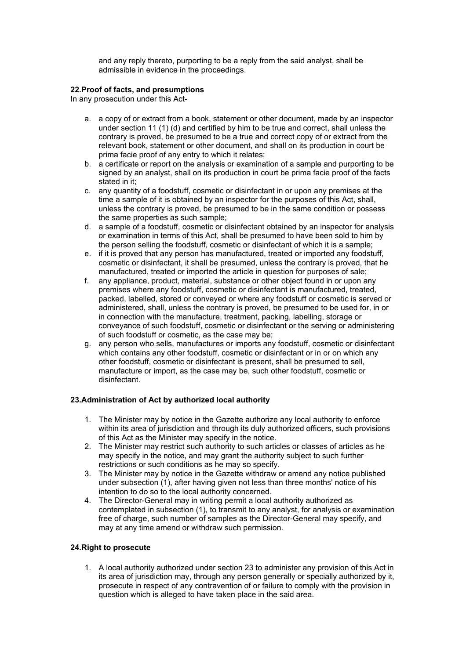and any reply thereto, purporting to be a reply from the said analyst, shall be admissible in evidence in the proceedings.

## **22.Proof of facts, and presumptions**

In any prosecution under this Act-

- a. a copy of or extract from a book, statement or other document, made by an inspector under section 11 (1) (d) and certified by him to be true and correct, shall unless the contrary is proved, be presumed to be a true and correct copy of or extract from the relevant book, statement or other document, and shall on its production in court be prima facie proof of any entry to which it relates;
- b. a certificate or report on the analysis or examination of a sample and purporting to be signed by an analyst, shall on its production in court be prima facie proof of the facts stated in it;
- c. any quantity of a foodstuff, cosmetic or disinfectant in or upon any premises at the time a sample of it is obtained by an inspector for the purposes of this Act, shall, unless the contrary is proved, be presumed to be in the same condition or possess the same properties as such sample;
- d. a sample of a foodstuff, cosmetic or disinfectant obtained by an inspector for analysis or examination in terms of this Act, shall be presumed to have been sold to him by the person selling the foodstuff, cosmetic or disinfectant of which it is a sample;
- e. if it is proved that any person has manufactured, treated or imported any foodstuff, cosmetic or disinfectant, it shall be presumed, unless the contrary is proved, that he manufactured, treated or imported the article in question for purposes of sale;
- f. any appliance, product, material, substance or other object found in or upon any premises where any foodstuff, cosmetic or disinfectant is manufactured, treated, packed, labelled, stored or conveyed or where any foodstuff or cosmetic is served or administered, shall, unless the contrary is proved, be presumed to be used for, in or in connection with the manufacture, treatment, packing, labelling, storage or conveyance of such foodstuff, cosmetic or disinfectant or the serving or administering of such foodstuff or cosmetic, as the case may be;
- g. any person who sells, manufactures or imports any foodstuff, cosmetic or disinfectant which contains any other foodstuff, cosmetic or disinfectant or in or on which any other foodstuff, cosmetic or disinfectant is present, shall be presumed to sell, manufacture or import, as the case may be, such other foodstuff, cosmetic or disinfectant.

# **23.Administration of Act by authorized local authority**

- 1. The Minister may by notice in the Gazette authorize any local authority to enforce within its area of jurisdiction and through its duly authorized officers, such provisions of this Act as the Minister may specify in the notice.
- 2. The Minister may restrict such authority to such articles or classes of articles as he may specify in the notice, and may grant the authority subject to such further restrictions or such conditions as he may so specify.
- 3. The Minister may by notice in the Gazette withdraw or amend any notice published under subsection (1), after having given not less than three months' notice of his intention to do so to the local authority concerned.
- 4. The Director-General may in writing permit a local authority authorized as contemplated in subsection (1), to transmit to any analyst, for analysis or examination free of charge, such number of samples as the Director-General may specify, and may at any time amend or withdraw such permission.

# **24.Right to prosecute**

1. A local authority authorized under section 23 to administer any provision of this Act in its area of jurisdiction may, through any person generally or specially authorized by it, prosecute in respect of any contravention of or failure to comply with the provision in question which is alleged to have taken place in the said area.